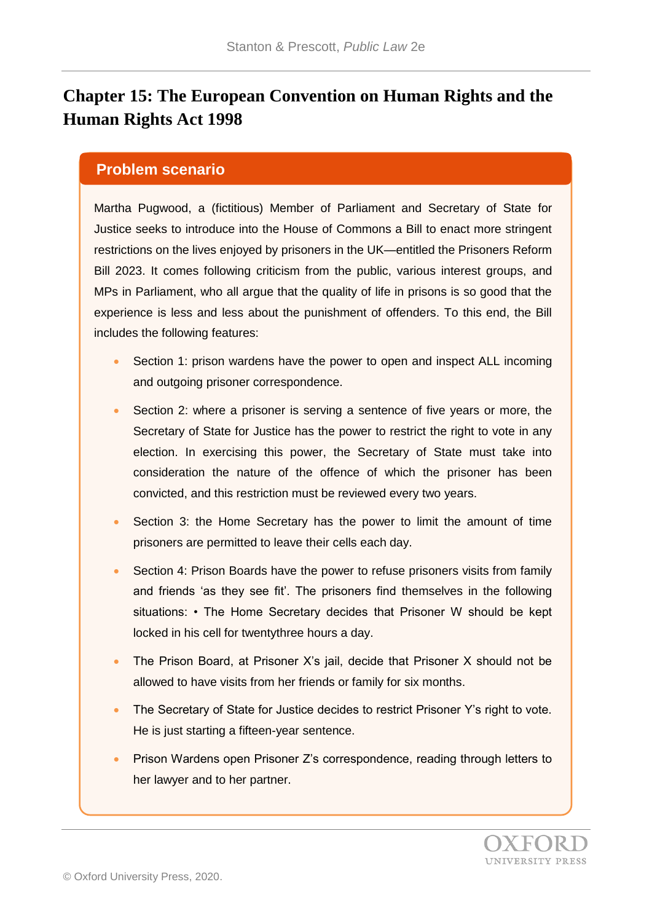# **Chapter 15: The European Convention on Human Rights and the Human Rights Act 1998**

#### **Problem scenario**

Martha Pugwood, a (fictitious) Member of Parliament and Secretary of State for Justice seeks to introduce into the House of Commons a Bill to enact more stringent restrictions on the lives enjoyed by prisoners in the UK—entitled the Prisoners Reform Bill 2023. It comes following criticism from the public, various interest groups, and MPs in Parliament, who all argue that the quality of life in prisons is so good that the experience is less and less about the punishment of offenders. To this end, the Bill includes the following features:

- Section 1: prison wardens have the power to open and inspect ALL incoming and outgoing prisoner correspondence.
- Section 2: where a prisoner is serving a sentence of five years or more, the Secretary of State for Justice has the power to restrict the right to vote in any election. In exercising this power, the Secretary of State must take into consideration the nature of the offence of which the prisoner has been convicted, and this restriction must be reviewed every two years.
- Section 3: the Home Secretary has the power to limit the amount of time prisoners are permitted to leave their cells each day.
- Section 4: Prison Boards have the power to refuse prisoners visits from family and friends 'as they see fit'. The prisoners find themselves in the following situations: • The Home Secretary decides that Prisoner W should be kept locked in his cell for twentythree hours a day.
- The Prison Board, at Prisoner X's jail, decide that Prisoner X should not be allowed to have visits from her friends or family for six months.
- The Secretary of State for Justice decides to restrict Prisoner Y's right to vote. He is just starting a fifteen-year sentence.
- Prison Wardens open Prisoner Z's correspondence, reading through letters to her lawyer and to her partner.

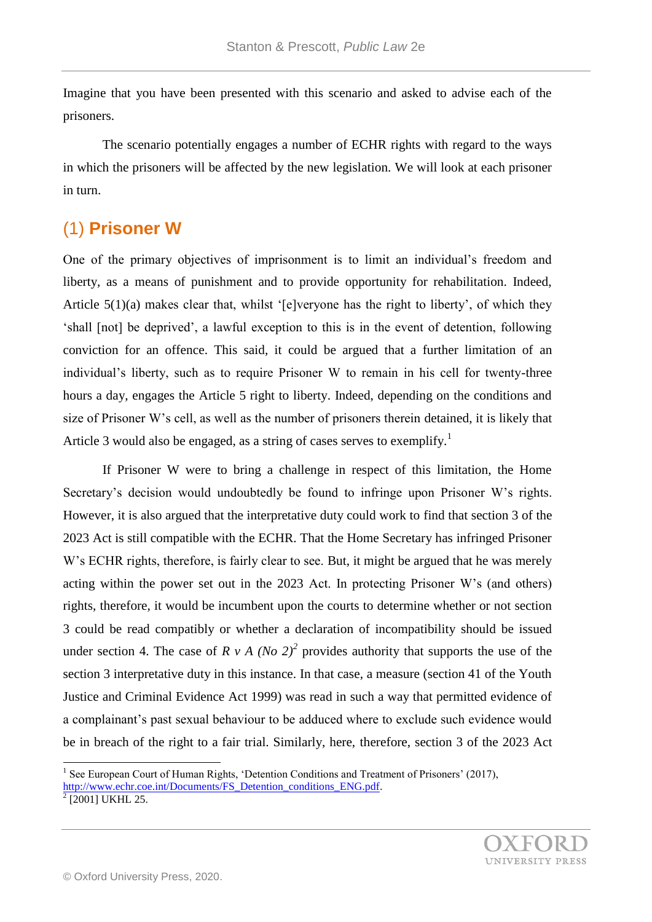Imagine that you have been presented with this scenario and asked to advise each of the prisoners.

The scenario potentially engages a number of ECHR rights with regard to the ways in which the prisoners will be affected by the new legislation. We will look at each prisoner in turn.

## (1) **Prisoner W**

One of the primary objectives of imprisonment is to limit an individual's freedom and liberty, as a means of punishment and to provide opportunity for rehabilitation. Indeed, Article 5(1)(a) makes clear that, whilst '[e]veryone has the right to liberty', of which they 'shall [not] be deprived', a lawful exception to this is in the event of detention, following conviction for an offence. This said, it could be argued that a further limitation of an individual's liberty, such as to require Prisoner W to remain in his cell for twenty-three hours a day, engages the Article 5 right to liberty. Indeed, depending on the conditions and size of Prisoner W's cell, as well as the number of prisoners therein detained, it is likely that Article 3 would also be engaged, as a string of cases serves to exemplify.<sup>1</sup>

If Prisoner W were to bring a challenge in respect of this limitation, the Home Secretary's decision would undoubtedly be found to infringe upon Prisoner W's rights. However, it is also argued that the interpretative duty could work to find that section 3 of the 2023 Act is still compatible with the ECHR. That the Home Secretary has infringed Prisoner W's ECHR rights, therefore, is fairly clear to see. But, it might be argued that he was merely acting within the power set out in the 2023 Act. In protecting Prisoner W's (and others) rights, therefore, it would be incumbent upon the courts to determine whether or not section 3 could be read compatibly or whether a declaration of incompatibility should be issued under section 4. The case of  $R \vee A$  (*No 2*)<sup>2</sup> provides authority that supports the use of the section 3 interpretative duty in this instance. In that case, a measure (section 41 of the Youth Justice and Criminal Evidence Act 1999) was read in such a way that permitted evidence of a complainant's past sexual behaviour to be adduced where to exclude such evidence would be in breach of the right to a fair trial. Similarly, here, therefore, section 3 of the 2023 Act

<sup>&</sup>lt;sup>1</sup> See European Court of Human Rights, 'Detention Conditions and Treatment of Prisoners' (2017),

[http://www.echr.coe.int/Documents/FS\\_Detention\\_conditions\\_ENG.pdf.](http://www.echr.coe.int/Documents/FS_Detention_conditions_ENG.pdf)

 $2$ <sup>2</sup> [2001] UKHL 25.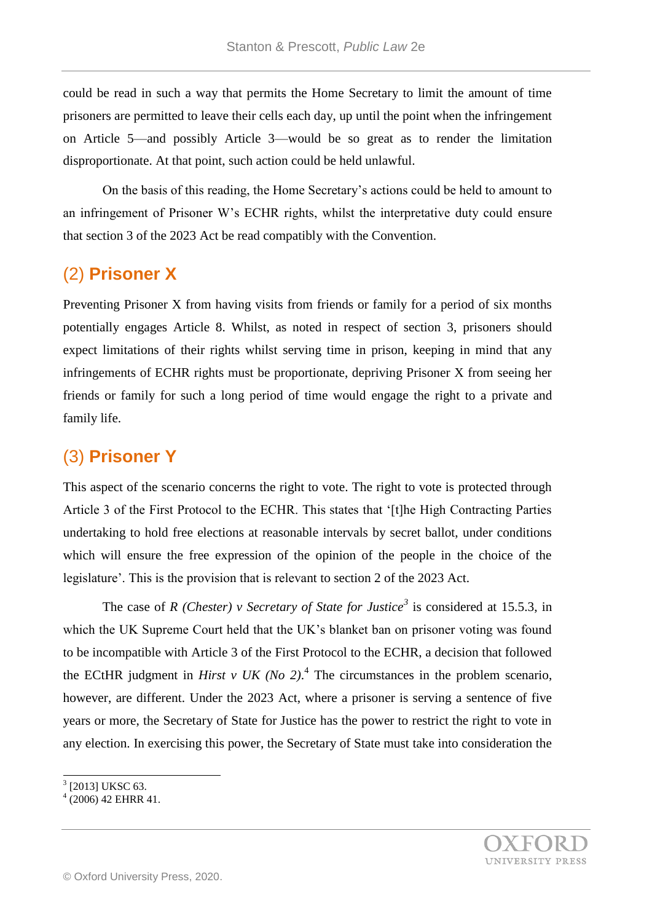could be read in such a way that permits the Home Secretary to limit the amount of time prisoners are permitted to leave their cells each day, up until the point when the infringement on Article 5—and possibly Article 3—would be so great as to render the limitation disproportionate. At that point, such action could be held unlawful.

On the basis of this reading, the Home Secretary's actions could be held to amount to an infringement of Prisoner W's ECHR rights, whilst the interpretative duty could ensure that section 3 of the 2023 Act be read compatibly with the Convention.

### (2) **Prisoner X**

Preventing Prisoner X from having visits from friends or family for a period of six months potentially engages Article 8. Whilst, as noted in respect of section 3, prisoners should expect limitations of their rights whilst serving time in prison, keeping in mind that any infringements of ECHR rights must be proportionate, depriving Prisoner X from seeing her friends or family for such a long period of time would engage the right to a private and family life.

## (3) **Prisoner Y**

This aspect of the scenario concerns the right to vote. The right to vote is protected through Article 3 of the First Protocol to the ECHR. This states that '[t]he High Contracting Parties undertaking to hold free elections at reasonable intervals by secret ballot, under conditions which will ensure the free expression of the opinion of the people in the choice of the legislature'. This is the provision that is relevant to section 2 of the 2023 Act.

The case of *R (Chester) v Secretary of State for Justice<sup>3</sup>* is considered at 15.5.3, in which the UK Supreme Court held that the UK's blanket ban on prisoner voting was found to be incompatible with Article 3 of the First Protocol to the ECHR, a decision that followed the ECtHR judgment in *Hirst v UK (No 2)*.<sup>4</sup> The circumstances in the problem scenario, however, are different. Under the 2023 Act, where a prisoner is serving a sentence of five years or more, the Secretary of State for Justice has the power to restrict the right to vote in any election. In exercising this power, the Secretary of State must take into consideration the

l

<sup>&</sup>lt;sup>3</sup> [2013] UKSC 63.

<sup>4</sup> (2006) 42 EHRR 41.